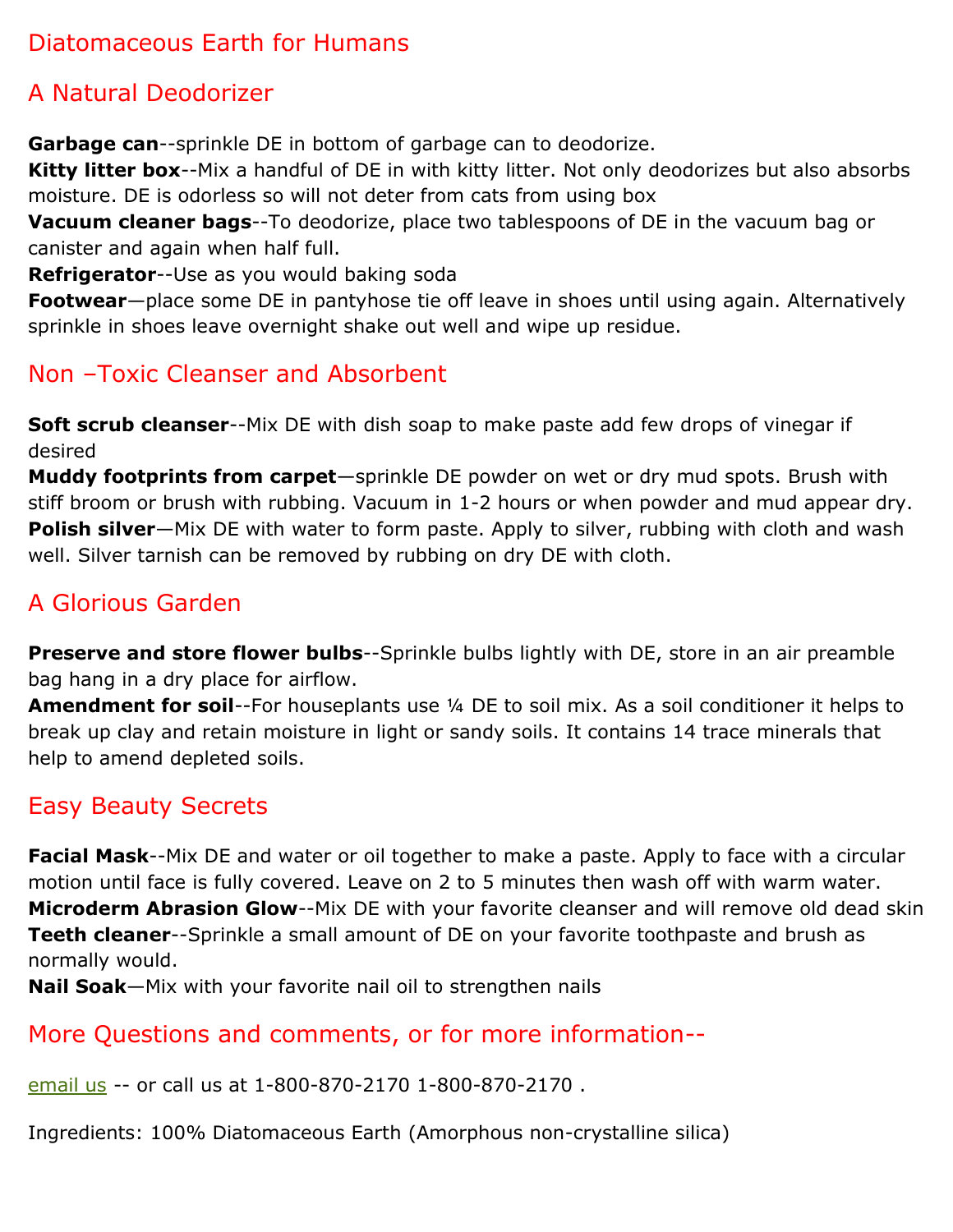## Diatomaceous Earth for Humans

## A Natural Deodorizer

**Garbage can**--sprinkle DE in bottom of garbage can to deodorize.

**Kitty litter box**--Mix a handful of DE in with kitty litter. Not only deodorizes but also absorbs moisture. DE is odorless so will not deter from cats from using box

**Vacuum cleaner bags**--To deodorize, place two tablespoons of DE in the vacuum bag or canister and again when half full.

**Refrigerator**--Use as you would baking soda

**Footwear**—place some DE in pantyhose tie off leave in shoes until using again. Alternatively sprinkle in shoes leave overnight shake out well and wipe up residue.

## Non –Toxic Cleanser and Absorbent

**Soft scrub cleanser**--Mix DE with dish soap to make paste add few drops of vinegar if desired

**Muddy footprints from carpet**—sprinkle DE powder on wet or dry mud spots. Brush with stiff broom or brush with rubbing. Vacuum in 1-2 hours or when powder and mud appear dry. **Polish silver**—Mix DE with water to form paste. Apply to silver, rubbing with cloth and wash well. Silver tarnish can be removed by rubbing on dry DE with cloth.

# A Glorious Garden

**Preserve and store flower bulbs**--Sprinkle bulbs lightly with DE, store in an air preamble bag hang in a dry place for airflow.

**Amendment for soil**--For houseplants use ¼ DE to soil mix. As a soil conditioner it helps to break up clay and retain moisture in light or sandy soils. It contains 14 trace minerals that help to amend depleted soils.

## Easy Beauty Secrets

**Facial Mask**--Mix DE and water or oil together to make a paste. Apply to face with a circular motion until face is fully covered. Leave on 2 to 5 minutes then wash off with warm water. **Microderm Abrasion Glow**--Mix DE with your favorite cleanser and will remove old dead skin **Teeth cleaner**--Sprinkle a small amount of DE on your favorite toothpaste and brush as normally would.

**Nail Soak**—Mix with your favorite nail oil to strengthen nails

## More Questions and comments, or for more information--

[email us](http://www.luminohome.com/contact_us.php) -- or call us at 1-800-870-2170 1-800-870-2170 .

Ingredients: 100% Diatomaceous Earth (Amorphous non-crystalline silica)